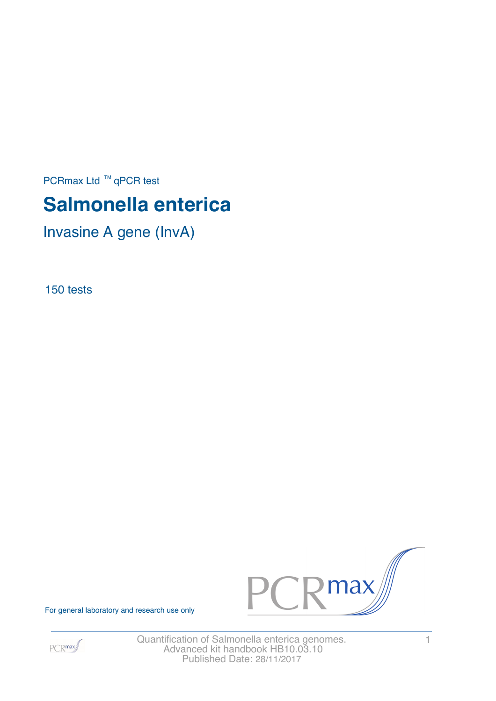PCRmax Ltd  $™$  qPCR test

# **Salmonella enterica**

Invasine A gene (InvA)

150 tests



For general laboratory and research use only



Quantification of Salmonella enterica genomes. 1 Advanced kit handbook HB10.03.10 Published Date: 28/11/2017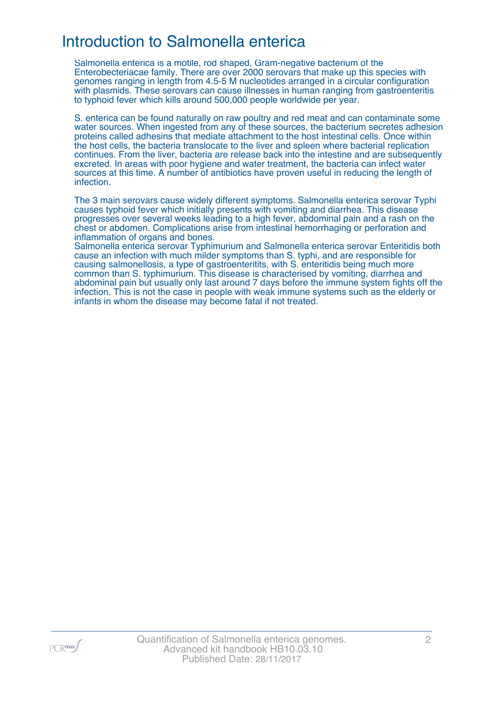### Introduction to Salmonella enterica

Salmonella enterica is a motile, rod shaped, Gram-negative bacterium of the Enterobecteriacae family. There are over 2000 serovars that make up this species with genomes ranging in length from 4.5-5 M nucleotides arranged in a circular configuration with plasmids. These serovars can cause illnesses in human ranging from gastroenteritis to typhoid fever which kills around 500,000 people worldwide per year.

S. enterica can be found naturally on raw poultry and red meat and can contaminate some water sources. When ingested from any of these sources, the bacterium secretes adhesion proteins called adhesins that mediate attachment to the host intestinal cells. Once within the host cells, the bacteria translocate to the liver and spleen where bacterial replication continues. From the liver, bacteria are release back into the intestine and are subsequently excreted. In areas with poor hygiene and water treatment, the bacteria can infect water sources at this time. A number of antibiotics have proven useful in reducing the length of infection.

The 3 main serovars cause widely different symptoms. Salmonella enterica serovar Typhi causes typhoid fever which initially presents with vomiting and diarrhea. This disease progresses over several weeks leading to a high fever, abdominal pain and a rash on the chest or abdomen. Complications arise from intestinal hemorrhaging or perforation and inflammation of organs and bones.

Salmonella enterica serovar Typhimurium and Salmonella enterica serovar Enteritidis both cause an infection with much milder symptoms than S. typhi, and are responsible for causing salmonellosis, a type of gastroenteritits, with S. enteritidis being much more common than S. typhimurium. This disease is characterised by vomiting, diarrhea and abdominal pain but usually only last around 7 days before the immune system fights off the infection. This is not the case in people with weak immune systems such as the elderly or infants in whom the disease may become fatal if not treated.

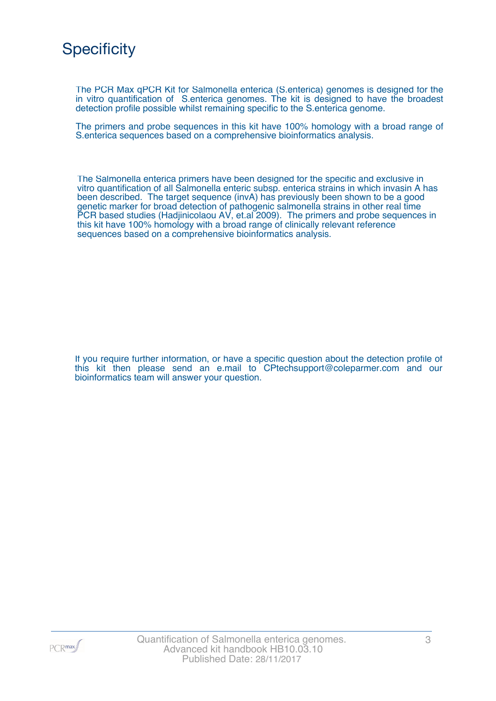

The PCR Max qPCR Kit for Salmonella enterica (S.enterica) genomes is designed for the in vitro quantification of S.enterica genomes. The kit is designed to have the broadest detection profile possible whilst remaining specific to the S.enterica genome.

The primers and probe sequences in this kit have 100% homology with a broad range of S.enterica sequences based on a comprehensive bioinformatics analysis.

The Salmonella enterica primers have been designed for the specific and exclusive in vitro quantification of all Salmonella enteric subsp. enterica strains in which invasin A has been described. The target sequence (invA) has previously been shown to be a good genetic marker for broad detection of pathogenic salmonella strains in other real time PCR based studies (Hadjinicolaou AV, et.al 2009). The primers and probe sequences in this kit have 100% homology with a broad range of clinically relevant reference sequences based on a comprehensive bioinformatics analysis.

If you require further information, or have a specific question about the detection profile of this kit then please send an e.mail to CPtechsupport@coleparmer.com and our bioinformatics team will answer your question.

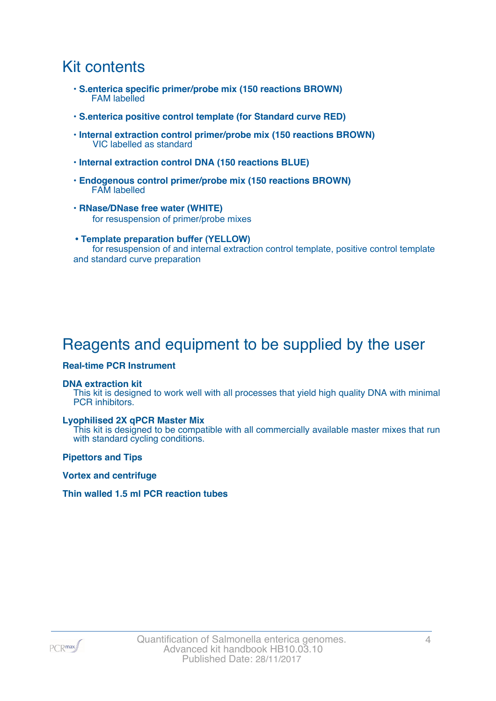### Kit contents

- **S.enterica specific primer/probe mix (150 reactions BROWN)** FAM labelled
- **S.enterica positive control template (for Standard curve RED)**
- **Internal extraction control primer/probe mix (150 reactions BROWN)** VIC labelled as standard
- **Internal extraction control DNA (150 reactions BLUE)**
- **Endogenous control primer/probe mix (150 reactions BROWN)** FAM labelled
- **RNase/DNase free water (WHITE)** for resuspension of primer/probe mixes
- **Template preparation buffer (YELLOW)** for resuspension of and internal extraction control template, positive control template and standard curve preparation

# Reagents and equipment to be supplied by the user

#### **Real-time PCR Instrument**

#### **DNA extraction kit**

This kit is designed to work well with all processes that yield high quality DNA with minimal PCR inhibitors.

#### **Lyophilised 2X qPCR Master Mix**

This kit is designed to be compatible with all commercially available master mixes that run with standard cycling conditions.

**Pipettors and Tips**

**Vortex and centrifuge**

#### **Thin walled 1.5 ml PCR reaction tubes**

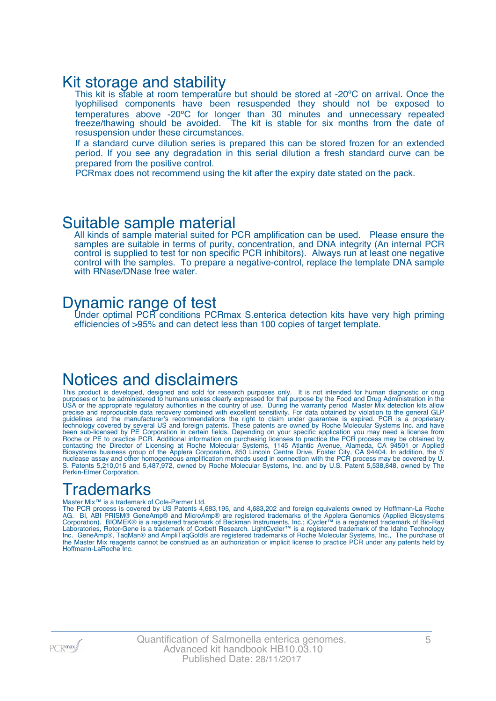### Kit storage and stability

This kit is stable at room temperature but should be stored at -20°C on arrival. Once the lyophilised components have been resuspended they should not be exposed to temperatures above -20ºC for longer than 30 minutes and unnecessary repeated freeze/thawing should be avoided. The kit is stable for six months from the date of resuspension under these circumstances.

If a standard curve dilution series is prepared this can be stored frozen for an extended period. If you see any degradation in this serial dilution a fresh standard curve can be prepared from the positive control.

PCRmax does not recommend using the kit after the expiry date stated on the pack.

### Suitable sample material

All kinds of sample material suited for PCR amplification can be used. Please ensure the samples are suitable in terms of purity, concentration, and DNA integrity (An internal PCR control is supplied to test for non specific PCR inhibitors). Always run at least one negative control with the samples. To prepare a negative-control, replace the template DNA sample with RNase/DNase free water.

### Dynamic range of test

Under optimal PCR conditions PCRmax S.enterica detection kits have very high priming efficiencies of >95% and can detect less than 100 copies of target template.

### Notices and disclaimers

This product is developed, designed and sold for research purposes only. It is not intended for human diagnostic or drug purposes or to be administered to humans unless clearly expressed for that purpose by the Food and Drug Administration in the USA or the appropriate regulatory authorities in the country of use. During the warranty period Master Mix detection kits allow precise and reproducible data recovery combined with excellent sensitivity. For data obtained by violation to the general GLP guidelines and the manufacturer's recommendations the right to claim under guarantee is expired. PCR is a proprietary technology covered by several US and foreign patents. These patents are owned by Roche Molecular Systems Inc. and have been sub-licensed by PE Corporation in certain fields. Depending on your specific application you may need a license from Roche or PE to practice PCR. Additional information on purchasing licenses to practice the PCR process may be obtained by contacting the Director of Licensing at Roche Molecular Systems, 1145 Atlantic Avenue, Alameda, CA 94501 or Applied Biosystems business group of the Applera Corporation, 850 Lincoln Centre Drive, Foster City, CA 94404. In addition, the 5' nuclease assay and other homogeneous amplification methods used in connection with the PCR process may be covered by U. S. Patents 5,210,015 and 5,487,972, owned by Roche Molecular Systems, Inc, and by U.S. Patent 5,538,848, owned by The Perkin-Elmer Corporation.

# **Trademarks**

#### Master Mix™ is a trademark of Cole-Parmer Ltd.

The PCR process is covered by US Patents 4,683,195, and 4,683,202 and foreign equivalents owned by Hoffmann-La Roche AG. BI, ABI PRISM® GeneAmp® and MicroAmp® are registered trademarks of the Applera Genomics (Applied Biosystems Corporation). BIOMEK® is a registered trademark of Beckman Instruments, Inc.; iCycler™ is a registered trademark of Bio-Rad Laboratories, Rotor-Gene is a trademark of Corbett Research. LightCycler™ is a registered trademark of the Idaho Technology Inc. GeneAmp®, TaqMan® and AmpliTaqGold® are registered trademarks of Roche Molecular Systems, Inc., The purchase of the Master Mix reagents cannot be construed as an authorization or implicit license to practice PCR under any patents held by Hoffmann-LaRoche Inc.

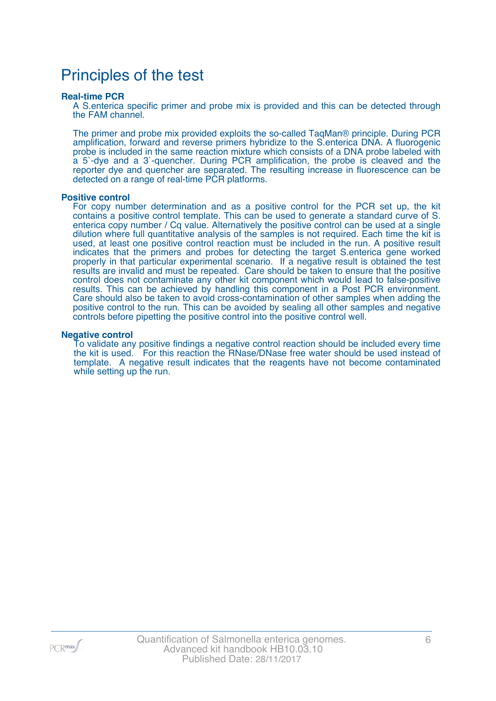### Principles of the test

#### **Real-time PCR**

A S.enterica specific primer and probe mix is provided and this can be detected through the FAM channel.

The primer and probe mix provided exploits the so-called TaqMan® principle. During PCR amplification, forward and reverse primers hybridize to the S.enterica DNA. A fluorogenic probe is included in the same reaction mixture which consists of a DNA probe labeled with a 5`-dye and a 3`-quencher. During PCR amplification, the probe is cleaved and the reporter dye and quencher are separated. The resulting increase in fluorescence can be detected on a range of real-time PCR platforms.

#### **Positive control**

For copy number determination and as a positive control for the PCR set up, the kit contains a positive control template. This can be used to generate a standard curve of S. enterica copy number / Cq value. Alternatively the positive control can be used at a single dilution where full quantitative analysis of the samples is not required. Each time the kit is used, at least one positive control reaction must be included in the run. A positive result indicates that the primers and probes for detecting the target S.enterica gene worked properly in that particular experimental scenario. If a negative result is obtained the test results are invalid and must be repeated. Care should be taken to ensure that the positive control does not contaminate any other kit component which would lead to false-positive results. This can be achieved by handling this component in a Post PCR environment. Care should also be taken to avoid cross-contamination of other samples when adding the positive control to the run. This can be avoided by sealing all other samples and negative controls before pipetting the positive control into the positive control well.

#### **Negative control**

To validate any positive findings a negative control reaction should be included every time the kit is used. For this reaction the RNase/DNase free water should be used instead of template. A negative result indicates that the reagents have not become contaminated while setting up the run.

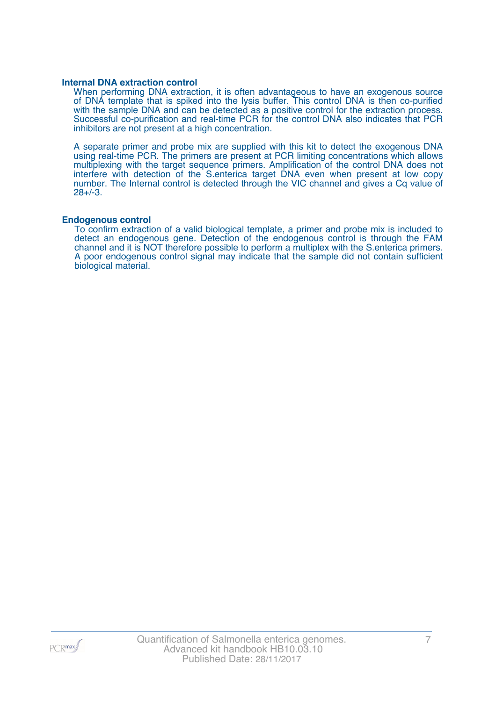#### **Internal DNA extraction control**

When performing DNA extraction, it is often advantageous to have an exogenous source of DNA template that is spiked into the lysis buffer. This control DNA is then co-purified with the sample DNA and can be detected as a positive control for the extraction process. Successful co-purification and real-time PCR for the control DNA also indicates that PCR inhibitors are not present at a high concentration.

A separate primer and probe mix are supplied with this kit to detect the exogenous DNA using real-time PCR. The primers are present at PCR limiting concentrations which allows multiplexing with the target sequence primers. Amplification of the control DNA does not interfere with detection of the S.enterica target DNA even when present at low copy number. The Internal control is detected through the VIC channel and gives a Cq value of 28+/-3.

#### **Endogenous control**

To confirm extraction of a valid biological template, a primer and probe mix is included to detect an endogenous gene. Detection of the endogenous control is through the FAM channel and it is NOT therefore possible to perform a multiplex with the S.enterica primers. A poor endogenous control signal may indicate that the sample did not contain sufficient biological material.

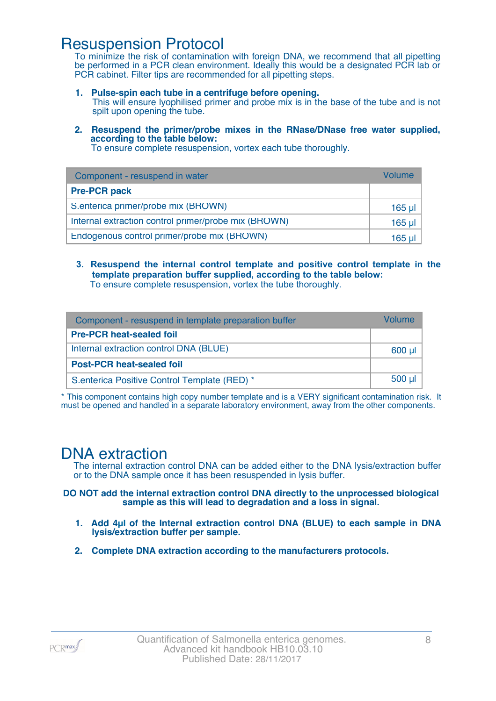### Resuspension Protocol

To minimize the risk of contamination with foreign DNA, we recommend that all pipetting be performed in a PCR clean environment. Ideally this would be a designated PCR lab or PCR cabinet. Filter tips are recommended for all pipetting steps.

- **1. Pulse-spin each tube in a centrifuge before opening.** This will ensure lyophilised primer and probe mix is in the base of the tube and is not spilt upon opening the tube.
- **2. Resuspend the primer/probe mixes in the RNase/DNase free water supplied, according to the table below:**

To ensure complete resuspension, vortex each tube thoroughly.

| Component - resuspend in water                       | Volume  |
|------------------------------------------------------|---------|
| <b>Pre-PCR pack</b>                                  |         |
| S.enterica primer/probe mix (BROWN)                  | 165 µl  |
| Internal extraction control primer/probe mix (BROWN) | $165$ µ |
| Endogenous control primer/probe mix (BROWN)          | 165 ul  |

**3. Resuspend the internal control template and positive control template in the template preparation buffer supplied, according to the table below:** To ensure complete resuspension, vortex the tube thoroughly.

| Component - resuspend in template preparation buffer |          |  |
|------------------------------------------------------|----------|--|
| <b>Pre-PCR heat-sealed foil</b>                      |          |  |
| Internal extraction control DNA (BLUE)               | 600 µl   |  |
| <b>Post-PCR heat-sealed foil</b>                     |          |  |
| S.enterica Positive Control Template (RED) *         | $500$ µl |  |

\* This component contains high copy number template and is a VERY significant contamination risk. It must be opened and handled in a separate laboratory environment, away from the other components.

### DNA extraction

The internal extraction control DNA can be added either to the DNA lysis/extraction buffer or to the DNA sample once it has been resuspended in lysis buffer.

**DO NOT add the internal extraction control DNA directly to the unprocessed biological sample as this will lead to degradation and a loss in signal.**

- **1. Add 4µl of the Internal extraction control DNA (BLUE) to each sample in DNA lysis/extraction buffer per sample.**
- **2. Complete DNA extraction according to the manufacturers protocols.**

PCR<sub>max</sub>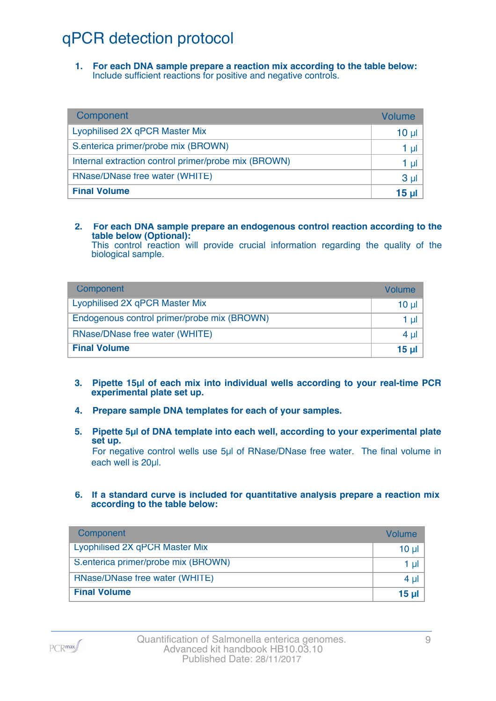# qPCR detection protocol

**1. For each DNA sample prepare a reaction mix according to the table below:** Include sufficient reactions for positive and negative controls.

| Component                                            | Volume          |
|------------------------------------------------------|-----------------|
| Lyophilised 2X qPCR Master Mix                       | 10 <sub>µ</sub> |
| S.enterica primer/probe mix (BROWN)                  | 1 µl            |
| Internal extraction control primer/probe mix (BROWN) | 1 µl            |
| RNase/DNase free water (WHITE)                       | 3 <sub>µ</sub>  |
| <b>Final Volume</b>                                  | 15 <sub>µ</sub> |

#### **2. For each DNA sample prepare an endogenous control reaction according to the table below (Optional):**

This control reaction will provide crucial information regarding the quality of the biological sample.

| Component                                   | Volume       |
|---------------------------------------------|--------------|
| Lyophilised 2X qPCR Master Mix              | 10 ul        |
| Endogenous control primer/probe mix (BROWN) | 1 ul         |
| RNase/DNase free water (WHITE)              | $4 \mu$      |
| <b>Final Volume</b>                         | <u>15 ul</u> |

- **3. Pipette 15µl of each mix into individual wells according to your real-time PCR experimental plate set up.**
- **4. Prepare sample DNA templates for each of your samples.**
- **5. Pipette 5µl of DNA template into each well, according to your experimental plate set up.**

For negative control wells use 5µl of RNase/DNase free water. The final volume in each well is 20ul.

**6. If a standard curve is included for quantitative analysis prepare a reaction mix according to the table below:**

| Component                           | Volume   |
|-------------------------------------|----------|
| Lyophilised 2X qPCR Master Mix      | $10 \mu$ |
| S.enterica primer/probe mix (BROWN) | 1 $\mu$  |
| RNase/DNase free water (WHITE)      | 4 $\mu$  |
| <b>Final Volume</b>                 | 15 $\mu$ |

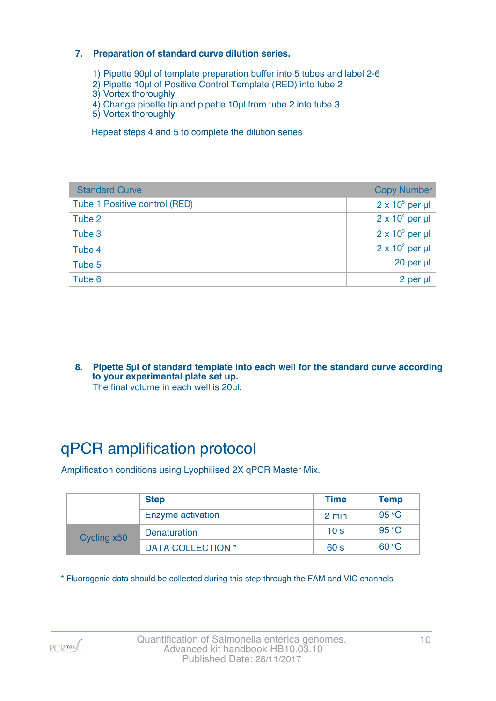#### **7. Preparation of standard curve dilution series.**

- 1) Pipette 90µl of template preparation buffer into 5 tubes and label 2-6
- 2) Pipette 10µl of Positive Control Template (RED) into tube 2
- 3) Vortex thoroughly
- 4) Change pipette tip and pipette 10µl from tube 2 into tube 3
- 5) Vortex thoroughly

Repeat steps 4 and 5 to complete the dilution series

| <b>Standard Curve</b>         | <b>Copy Number</b>     |
|-------------------------------|------------------------|
| Tube 1 Positive control (RED) | $2 \times 10^5$ per µl |
| Tube 2                        | $2 \times 10^4$ per µl |
| Tube 3                        | $2 \times 10^3$ per µl |
| Tube 4                        | $2 \times 10^2$ per µl |
| Tube 5                        | 20 per µl              |
| Tube 6                        | 2 per µl               |

**8. Pipette 5µl of standard template into each well for the standard curve according to your experimental plate set up.** The final volume in each well is 20µl.

# qPCR amplification protocol

Amplification conditions using Lyophilised 2X qPCR Master Mix.

|             | <b>Step</b>              | <b>Time</b>     | <b>Temp</b> |
|-------------|--------------------------|-----------------|-------------|
|             | <b>Enzyme activation</b> | 2 min           | 95 °C       |
| Cycling x50 | Denaturation             | 10 <sub>s</sub> | 95 °C       |
|             | <b>DATA COLLECTION *</b> | 60 <sub>s</sub> | 60 °C       |

\* Fluorogenic data should be collected during this step through the FAM and VIC channels

PCR<sub>max</sub>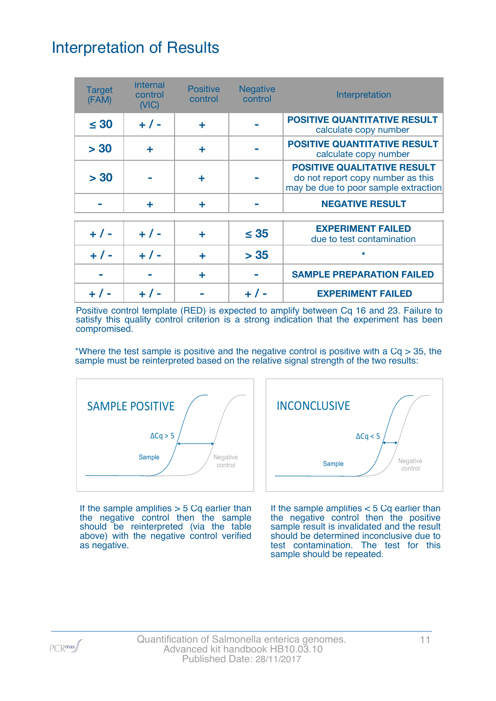# Interpretation of Results

| <b>Target</b><br>(FAM) | <b>Internal</b><br>control<br>(NIC) | <b>Positive</b><br>control | <b>Negative</b><br>control | Interpretation                                                                                                  |
|------------------------|-------------------------------------|----------------------------|----------------------------|-----------------------------------------------------------------------------------------------------------------|
| $\leq 30$              | $+ 1 -$                             | ÷                          |                            | <b>POSITIVE QUANTITATIVE RESULT</b><br>calculate copy number                                                    |
| > 30                   | ÷                                   | ÷                          |                            | <b>POSITIVE QUANTITATIVE RESULT</b><br>calculate copy number                                                    |
| > 30                   |                                     | ٠                          |                            | <b>POSITIVE QUALITATIVE RESULT</b><br>do not report copy number as this<br>may be due to poor sample extraction |
|                        | ÷                                   | ÷                          |                            | <b>NEGATIVE RESULT</b>                                                                                          |
| $+ 1 -$                | $+ 1 -$                             | ٠                          | $\leq$ 35                  | <b>EXPERIMENT FAILED</b><br>due to test contamination                                                           |
| $+ 1 -$                | $+ 1 -$                             | ÷                          | > 35                       | $\star$                                                                                                         |
|                        |                                     | ÷                          |                            | <b>SAMPLE PREPARATION FAILED</b>                                                                                |
|                        |                                     |                            |                            | <b>EXPERIMENT FAILED</b>                                                                                        |

Positive control template (RED) is expected to amplify between Cq 16 and 23. Failure to satisfy this quality control criterion is a strong indication that the experiment has been compromised.

\*Where the test sample is positive and the negative control is positive with a  $Cq > 35$ , the sample must be reinterpreted based on the relative signal strength of the two results:



If the sample amplifies  $> 5$  Cq earlier than the negative control then the sample should be reinterpreted (via the table above) with the negative control verified as negative.



If the sample amplifies < 5 Cq earlier than the negative control then the positive sample result is invalidated and the result should be determined inconclusive due to test contamination. The test for this sample should be repeated.